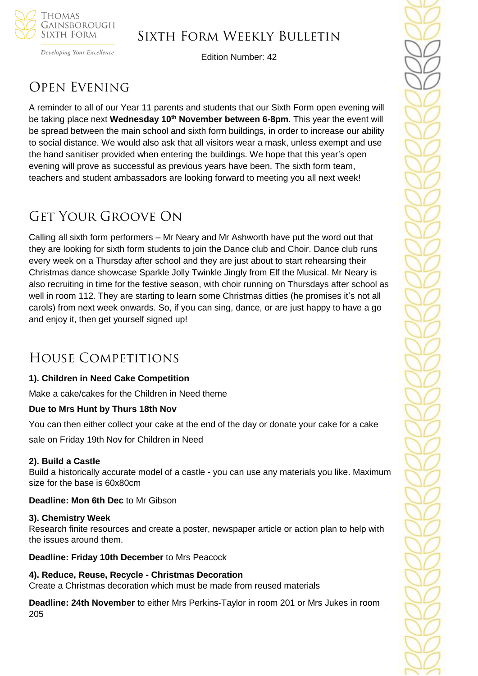

# Sixth Form Weekly Bulletin

Developing Your Excellence

Edition Number: 42

# Open Evening

A reminder to all of our Year 11 parents and students that our Sixth Form open evening will be taking place next **Wednesday 10th November between 6-8pm**. This year the event will be spread between the main school and sixth form buildings, in order to increase our ability to social distance. We would also ask that all visitors wear a mask, unless exempt and use the hand sanitiser provided when entering the buildings. We hope that this year's open evening will prove as successful as previous years have been. The sixth form team, teachers and student ambassadors are looking forward to meeting you all next week!

# Get Your Groove On

Calling all sixth form performers – Mr Neary and Mr Ashworth have put the word out that they are looking for sixth form students to join the Dance club and Choir. Dance club runs every week on a Thursday after school and they are just about to start rehearsing their Christmas dance showcase Sparkle Jolly Twinkle Jingly from Elf the Musical. Mr Neary is also recruiting in time for the festive season, with choir running on Thursdays after school as well in room 112. They are starting to learn some Christmas ditties (he promises it's not all carols) from next week onwards. So, if you can sing, dance, or are just happy to have a go and enjoy it, then get yourself signed up!

# House Competitions

## **1). Children in Need Cake Competition**

Make a cake/cakes for the Children in Need theme

## **Due to Mrs Hunt by Thurs 18th Nov**

You can then either collect your cake at the end of the day or donate your cake for a cake

sale on Friday 19th Nov for Children in Need

## **2). Build a Castle**

Build a historically accurate model of a castle - you can use any materials you like. Maximum size for the base is 60x80cm

**Deadline: Mon 6th Dec** to Mr Gibson

## **3). Chemistry Week**

Research finite resources and create a poster, newspaper article or action plan to help with the issues around them.

**Deadline: Friday 10th December** to Mrs Peacock

**4). Reduce, Reuse, Recycle - Christmas Decoration** Create a Christmas decoration which must be made from reused materials

**Deadline: 24th November** to either Mrs Perkins-Taylor in room 201 or Mrs Jukes in room 205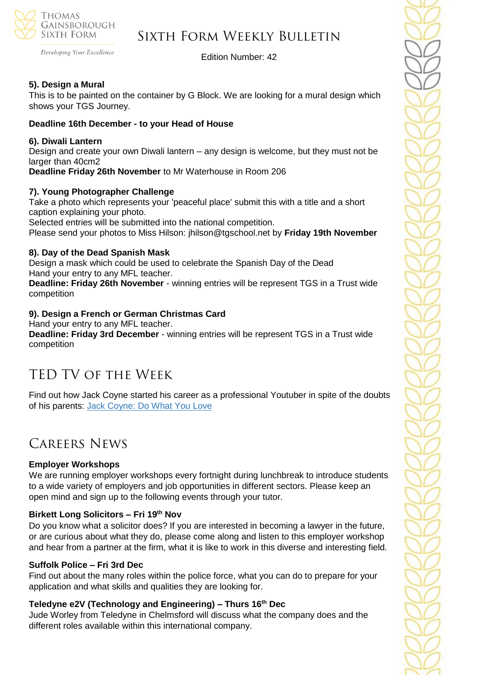

# Sixth Form Weekly Bulletin

Edition Number: 42

## **5). Design a Mural**

This is to be painted on the container by G Block. We are looking for a mural design which shows your TGS Journey.

## **Deadline 16th December - to your Head of House**

## **6). Diwali Lantern**

Design and create your own Diwali lantern – any design is welcome, but they must not be larger than 40cm2 **Deadline Friday 26th November** to Mr Waterhouse in Room 206

# **7). Young Photographer Challenge**

Take a photo which represents your 'peaceful place' submit this with a title and a short caption explaining your photo.

Selected entries will be submitted into the national competition.

Please send your photos to Miss Hilson: jhilson@tgschool.net by **Friday 19th November**

### **8). Day of the Dead Spanish Mask**

Design a mask which could be used to celebrate the Spanish Day of the Dead Hand your entry to any MFL teacher.

**Deadline: Friday 26th November** - winning entries will be represent TGS in a Trust wide competition

### **9). Design a French or German Christmas Card**

Hand your entry to any MFL teacher.

**Deadline: Friday 3rd December** - winning entries will be represent TGS in a Trust wide competition

# TED TV of the Week

Find out how Jack Coyne started his career as a professional Youtuber in spite of the doubts of his parents: [Jack Coyne: Do What You Love](https://www.ted.com/talks/jack_coyne_do_what_you_love_tedxwakeforestu_2021?utm_campaign=tedspread&utm_medium=referral&utm_source=tedcomshare)

# Careers News

## **Employer Workshops**

We are running employer workshops every fortnight during lunchbreak to introduce students to a wide variety of employers and job opportunities in different sectors. Please keep an open mind and sign up to the following events through your tutor.

## **Birkett Long Solicitors – Fri 19th Nov**

Do you know what a solicitor does? If you are interested in becoming a lawyer in the future, or are curious about what they do, please come along and listen to this employer workshop and hear from a partner at the firm, what it is like to work in this diverse and interesting field.

#### **Suffolk Police – Fri 3rd Dec**

Find out about the many roles within the police force, what you can do to prepare for your application and what skills and qualities they are looking for.

## **Teledyne e2V (Technology and Engineering) – Thurs 16th Dec**

Jude Worley from Teledyne in Chelmsford will discuss what the company does and the different roles available within this international company.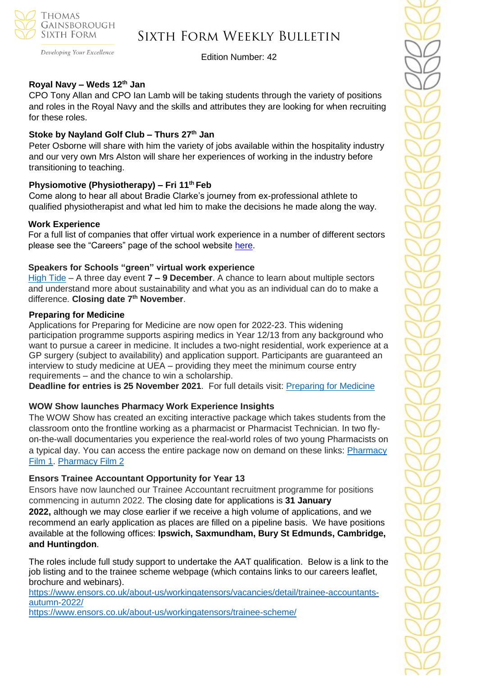

# Sixth Form Weekly Bulletin

Developing Your Excellence

### Edition Number: 42

# **Royal Navy – Weds 12th Jan**

CPO Tony Allan and CPO Ian Lamb will be taking students through the variety of positions and roles in the Royal Navy and the skills and attributes they are looking for when recruiting for these roles.

### **Stoke by Nayland Golf Club – Thurs 27th Jan**

Peter Osborne will share with him the variety of jobs available within the hospitality industry and our very own Mrs Alston will share her experiences of working in the industry before transitioning to teaching.

## **Physiomotive (Physiotherapy) – Fri 11th Feb**

Come along to hear all about Bradie Clarke's journey from ex-professional athlete to qualified physiotherapist and what led him to make the decisions he made along the way.

#### **Work Experience**

For a full list of companies that offer virtual work experience in a number of different sectors please see the "Careers" page of the school website [here.](https://tgschool.net/careers)

### **Speakers for Schools "green" virtual work experience**

[High](https://www.s4snextgen.org/Opportunities/View/id/2192) Tide – A three day event **7 – 9 December**. A chance to learn about multiple sectors and understand more about sustainability and what you as an individual can do to make a difference. **Closing date 7th November**.

#### **Preparing for Medicine**

Applications for Preparing for Medicine are now open for 2022-23. This widening participation programme supports aspiring medics in Year 12/13 from any background who want to pursue a career in medicine. It includes a two-night residential, work experience at a GP surgery (subject to availability) and application support. Participants are guaranteed an interview to study medicine at UEA – providing they meet the minimum course entry requirements – and the chance to win a scholarship.

**Deadline for entries is 25 November 2021**. For full details visit: [Preparing](https://www.uea.ac.uk/study/information-for/teachers/services-for-schools/year-12-13/on-campus/preparing-for-medicine) for Medicine

#### **WOW Show launches Pharmacy Work Experience Insights**

The WOW Show has created an exciting interactive package which takes students from the classroom onto the frontline working as a pharmacist or Pharmacist Technician. In two flyon-the-wall documentaries you experience the real-world roles of two young Pharmacists on a typical day. You can access the entire package now on demand on these links: [Pharmacy](http://www.thewowshow.org/PharmacyFilm1)  [Film 1.](http://www.thewowshow.org/PharmacyFilm1) [Pharmacy Film 2](http://www.thewowshow.org/PharmacyFilm2)

#### **Ensors Trainee Accountant Opportunity for Year 13**

Ensors have now launched our Trainee Accountant recruitment programme for positions commencing in autumn 2022. The closing date for applications is **31 January 2022,** although we may close earlier if we receive a high volume of applications, and we recommend an early application as places are filled on a pipeline basis. We have positions available at the following offices: **Ipswich, Saxmundham, Bury St Edmunds, Cambridge, and Huntingdon**.

The roles include full study support to undertake the AAT qualification. Below is a link to the job listing and to the trainee scheme webpage (which contains links to our careers leaflet, brochure and webinars).

[https://www.ensors.co.uk/about-us/workingatensors/vacancies/detail/trainee-accountants](https://www.ensors.co.uk/about-us/workingatensors/vacancies/detail/trainee-accountants-autumn-2022/)[autumn-2022/](https://www.ensors.co.uk/about-us/workingatensors/vacancies/detail/trainee-accountants-autumn-2022/)

<https://www.ensors.co.uk/about-us/workingatensors/trainee-scheme/>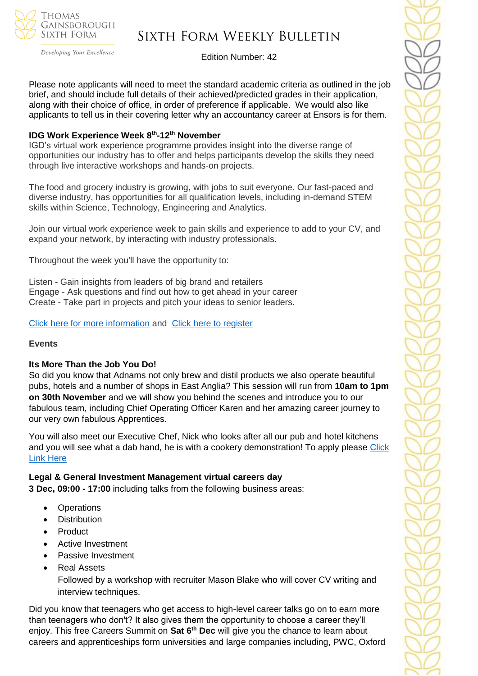

# Sixth Form Weekly Bulletin

Edition Number: 42

Please note applicants will need to meet the standard academic criteria as outlined in the job brief, and should include full details of their achieved/predicted grades in their application, along with their choice of office, in order of preference if applicable. We would also like applicants to tell us in their covering letter why an accountancy career at Ensors is for them.

### **IDG Work Experience Week 8 th -12th November**

IGD's virtual work experience programme provides insight into the diverse range of opportunities our industry has to offer and helps participants develop the skills they need through live interactive workshops and hands-on projects.

The food and grocery industry is growing, with jobs to suit everyone. Our fast-paced and diverse industry, has opportunities for all qualification levels, including in-demand STEM skills within Science, Technology, Engineering and Analytics.

Join our virtual work experience week to gain skills and experience to add to your CV, and expand your network, by interacting with industry professionals.

Throughout the week you'll have the opportunity to:

Listen - Gain insights from leaders of big brand and retailers Engage - Ask questions and find out how to get ahead in your career Create - Take part in projects and pitch your ideas to senior leaders.

[Click here for more information](https://www.igd.com/social-impact/employability-programmes/work-experience) and [Click here to register](https://forms.office.com/Pages/ResponsePage.aspx?id=jd6N1oSIh0qxZpt1SxEN0oN_a7qZE6FNs_SwKHgp3ytUNFNNN1c5QlZXTjlWWks5QlVGQzJRVEFSNiQlQCN0PWcu)

#### **Events**

#### **Its More Than the Job You Do!**

So did you know that Adnams not only brew and distil products we also operate beautiful pubs, hotels and a number of shops in East Anglia? This session will run from **10am to 1pm on 30th November** and we will show you behind the scenes and introduce you to our fabulous team, including Chief Operating Officer Karen and her amazing career journey to our very own fabulous Apprentices.

You will also meet our Executive Chef, Nick who looks after all our pub and hotel kitchens and you will see what a dab hand, he is with a cookery demonstration! To apply please Click [Link Here](https://www.s4snextgen.org/schools/opportunitiesv2/ViewOpportunity/id/2294)

#### **Legal & General Investment Management virtual careers day**

**3 Dec, 09:00 - 17:00** including talks from the following business areas:

- **Operations**
- Distribution
- **Product**
- Active Investment
- Passive Investment
- Real Assets

Followed by a workshop with recruiter Mason Blake who will cover CV writing and interview techniques.

Did you know that teenagers who get access to high-level career talks go on to earn more than teenagers who don't? It also gives them the opportunity to choose a career they'll enjoy. This free Careers Summit on **Sat 6th Dec** will give you the chance to learn about careers and apprenticeships form universities and large companies including, PWC, Oxford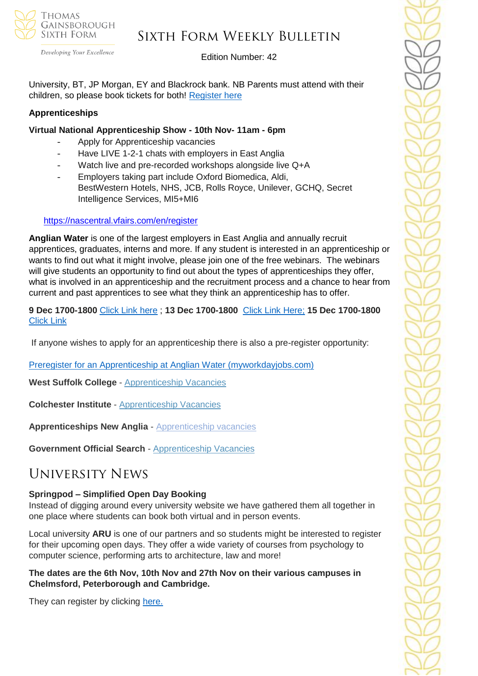

# Sixth Form Weekly Bulletin

Developing Your Excellence

## Edition Number: 42

University, BT, JP Morgan, EY and Blackrock bank. NB Parents must attend with their children, so please book tickets for both! [Register here](https://careersummit.gtscholars.org/)

## **Apprenticeships**

## **Virtual National Apprenticeship Show - 10th Nov- 11am - 6pm**

- Apply for Apprenticeship vacancies
- Have LIVE 1-2-1 chats with employers in East Anglia
- Watch live and pre-recorded workshops alongside live Q+A
- Employers taking part include Oxford Biomedica, Aldi, BestWestern Hotels, NHS, JCB, Rolls Royce, Unilever, GCHQ, Secret Intelligence Services, MI5+MI6

## <https://nascentral.vfairs.com/en/register>

**Anglian Water** is one of the largest employers in East Anglia and annually recruit apprentices, graduates, interns and more. If any student is interested in an apprenticeship or wants to find out what it might involve, please join one of the free webinars. The webinars will give students an opportunity to find out about the types of apprenticeships they offer, what is involved in an apprenticeship and the recruitment process and a chance to hear from current and past apprentices to see what they think an apprenticeship has to offer.

**9 Dec 1700-1800** [Click Link here](https://teams.microsoft.com/registration/Ah2656Iq1UiBhePca_e4bQ,EN_2oJbTzkiu57ZBev0QSg,pkln6gQwkkGEkBH4NNht9g,gDwy0arFokqp6TYFtiS42g,NlL4PKxLck60sGqtb_uv6g,Dm2pwzAQVEWpyJALjJVH9w?mode=read&tenantId=e7ba1d02-2aa2-48d5-8185-e3dc6bf7b86d) ; **13 Dec 1700-1800** [Click Link Here;](https://teams.microsoft.com/registration/Ah2656Iq1UiBhePca_e4bQ,EN_2oJbTzkiu57ZBev0QSg,pkln6gQwkkGEkBH4NNht9g,IfENcHOFkE2Qq2oI_klpBw,D8L_HEr_nEKP6L3DL_EWPA,PQ1kY4Ul4EeGTzqJOx-XTg?mode=read&tenantId=e7ba1d02-2aa2-48d5-8185-e3dc6bf7b86d) **15 Dec 1700-1800** [Click Link](https://teams.microsoft.com/registration/Ah2656Iq1UiBhePca_e4bQ,EN_2oJbTzkiu57ZBev0QSg,pkln6gQwkkGEkBH4NNht9g,WlNKHemzMk-Yi_9MKN3wMQ,3rF_2AOAbUWChGli1KsV0w,bWUMqXDVbkCNLw7ra-BVqw?mode=read&tenantId=e7ba1d02-2aa2-48d5-8185-e3dc6bf7b86d)

If anyone wishes to apply for an apprenticeship there is also a pre-register opportunity:

[Preregister for an Apprenticeship at Anglian Water \(myworkdayjobs.com\)](https://awg.wd3.myworkdayjobs.com/PS/job/Cambridgeshire/Register-your-interest-for-an-Apprenticeship-at-Anglian-Water_R14052)

**West Suffolk College** - [Apprenticeship Vacancies](https://apprenticeships.wsc.ac.uk/)

**Colchester Institute** - [Apprenticeship Vacancies](https://www.colchester.ac.uk/apprenticeships/vacancies/)

**Apprenticeships New Anglia** - [Apprenticeship vacancies](https://www.apprenticeshipsnewanglia.co.uk/)

**Government Official Search** - [Apprenticeship Vacancies](https://www.gov.uk/apply-apprenticeship)

# University News

## **Springpod – Simplified Open Day Booking**

Instead of digging around every university website we have gathered them all together in one place where students can book both virtual and in person events.

Local university **ARU** is one of our partners and so students might be interested to register for their upcoming open days. They offer a wide variety of courses from psychology to computer science, performing arts to architecture, law and more!

**The dates are the 6th Nov, 10th Nov and 27th Nov on their various campuses in Chelmsford, Peterborough and Cambridge.**

They can register by clicking [here.](https://app1.campus-site.com/public/e/click/TCMfyTaJR5Rv9cxURc0iGg/Jp-DjpBFpdt_NhgOVrzuQQ)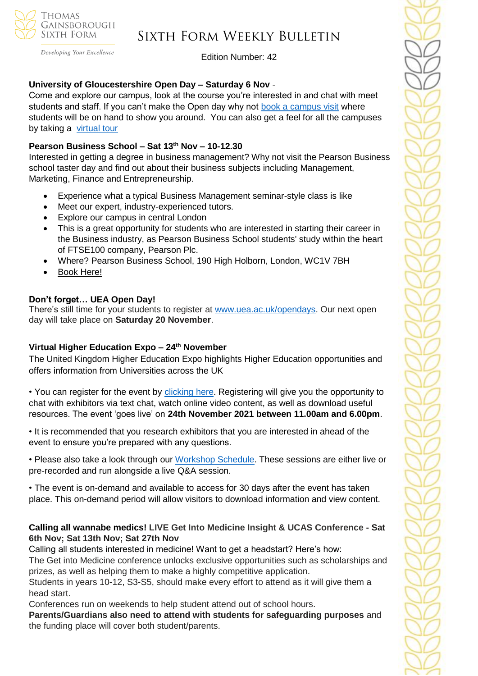

# Sixth Form Weekly Bulletin

Edition Number: 42

### **University of Gloucestershire Open Day – Saturday 6 Nov** -

Come and explore our campus, look at the course you're interested in and chat with meet students and staff. If you can't make the Open day why not [book a campus visit](https://netsxithform.us5.list-manage.com/track/click?u=8dedc07ce580600fe618f38c3&id=64449a5efa&e=51b5a4fd55) where students will be on hand to show you around. You can also get a feel for all the campuses by taking a [virtual tour](https://netsxithform.us5.list-manage.com/track/click?u=8dedc07ce580600fe618f38c3&id=b38dfeecbb&e=51b5a4fd55)

## **Pearson Business School – Sat 13th Nov – 10-12.30**

Interested in getting a degree in business management? Why not visit the Pearson Business school taster day and find out about their business subjects including Management, Marketing, Finance and Entrepreneurship.

- Experience what a typical Business Management seminar-style class is like
- Meet our expert, industry-experienced tutors.
- Explore our campus in central London
- This is a great opportunity for students who are interested in starting their career in the Business industry, as Pearson Business School students' study within the heart of FTSE100 company, Pearson Plc.
- Where? Pearson Business School, 190 High Holborn, London, WC1V 7BH
- [Book Here!](https://www.pearsoncollegelondon.ac.uk/pearson-business-school/visit-us/events/undergraduate-taster-days.html?utm_source=unitasterdays&utm_medium=email)

## **Don't forget… UEA Open Day!**

There's still time for your students to register at [www.uea.ac.uk/opendays.](http://www.uea.ac.uk/opendays) Our next open day will take place on **Saturday 20 November**.

## **Virtual Higher Education Expo – 24th November**

The United Kingdom Higher Education Expo highlights Higher Education opportunities and offers information from Universities across the UK

• You can register for the event by [clicking here.](https://ukhex.vfairs.com/en/register) Registering will give you the opportunity to chat with exhibitors via text chat, watch online video content, as well as download useful resources. The event 'goes live' on **24th November 2021 between 11.00am and 6.00pm**.

• It is recommended that you research exhibitors that you are interested in ahead of the event to ensure you're prepared with any questions.

• Please also take a look through our [Workshop Schedule.](https://ukhex.vfairs.com/en/) These sessions are either live or pre-recorded and run alongside a live Q&A session.

• The event is on-demand and available to access for 30 days after the event has taken place. This on-demand period will allow visitors to download information and view content.

## **Calling all wannabe medics! LIVE Get Into Medicine Insight & UCAS Conference - Sat 6th Nov; Sat 13th Nov; Sat 27th Nov**

Calling all students interested in medicine! Want to get a headstart? Here's how: The Get into Medicine conference unlocks exclusive opportunities such as scholarships and prizes, as well as helping them to make a highly competitive application.

Students in years 10-12, S3-S5, should make every effort to attend as it will give them a head start.

Conferences run on weekends to help student attend out of school hours.

**Parents/Guardians also need to attend with students for safeguarding purposes** and the funding place will cover both student/parents.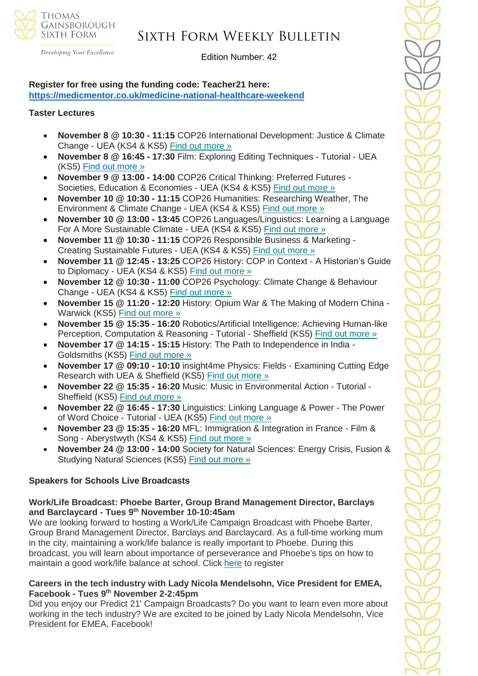

# Sixth Form Weekly Bulletin

Edition Number: 42

## **Register for free using the funding code: Teacher21 here: <https://medicmentor.co.uk/medicine-national-healthcare-weekend>**

#### **Taster Lectures**

- **November 8 @ 10:30 - 11:15** COP26 International Development: Justice & Climate Change - UEA (KS4 & KS5) Find out [more](https://channeltalent.us10.list-manage.com/track/click?u=145837fa6843e0c349598322a&id=7e4fcd1797&e=ba0e9a2959) »
- **November 8 @ 16:45 - 17:30** Film: Exploring Editing Techniques Tutorial UEA (KS5) [Find out more »](https://channeltalent.us10.list-manage.com/track/click?u=145837fa6843e0c349598322a&id=eea488348b&e=ba0e9a2959)
- **November 9 @ 13:00 - 14:00** COP26 Critical Thinking: Preferred Futures Societies, Education & Economies - UEA (KS4 & KS5) Find out [more](https://channeltalent.us10.list-manage.com/track/click?u=145837fa6843e0c349598322a&id=5abd931332&e=ba0e9a2959) »
- **November 10 @ 10:30 - 11:15** COP26 Humanities: Researching Weather, The Environment & Climate Change - UEA (KS4 & KS5) Find out [more](https://channeltalent.us10.list-manage.com/track/click?u=145837fa6843e0c349598322a&id=ff697516d5&e=ba0e9a2959) »
- **November 10 @ 13:00 - 13:45** COP26 Languages/Linguistics: Learning a Language For A More Sustainable Climate - UEA (KS4 & KS5) Find out [more](https://channeltalent.us10.list-manage.com/track/click?u=145837fa6843e0c349598322a&id=280ab0e84b&e=ba0e9a2959) »
- **November 11 @ 10:30 - 11:15** COP26 Responsible Business & Marketing Creating Sustainable Futures - UEA (KS4 & KS5) Find out [more](https://channeltalent.us10.list-manage.com/track/click?u=145837fa6843e0c349598322a&id=2bb2ff4597&e=ba0e9a2959) »
- **November 11 @ 12:45 - 13:25** COP26 History: COP in Context A Historian's Guide to Diplomacy - UEA (KS4 & KS5) Find out [more](https://channeltalent.us10.list-manage.com/track/click?u=145837fa6843e0c349598322a&id=44cc570dc5&e=ba0e9a2959) »
- **November 12 @ 10:30 - 11:00** COP26 Psychology: Climate Change & Behaviour Change - UEA (KS4 & KS5) Find out [more](https://channeltalent.us10.list-manage.com/track/click?u=145837fa6843e0c349598322a&id=477a8837c2&e=ba0e9a2959) »
- **November 15 @ 11:20 - 12:20** History: Opium War & The Making of Modern China Warwick (KS5) Find out [more](https://channeltalent.us10.list-manage.com/track/click?u=145837fa6843e0c349598322a&id=b10c8a712c&e=155232616c) »
- **November 15 @ 15:35 - 16:20** Robotics/Artificial Intelligence: Achieving Human-like Perception, Computation & Reasoning - Tutorial - Sheffield (KS5) Find out [more](https://channeltalent.us10.list-manage.com/track/click?u=145837fa6843e0c349598322a&id=afb709392e&e=ba0e9a2959) »
- **November 17 @ 14:15 - 15:15** History: The Path to Independence in India Goldsmiths (KS5) Find out [more](https://channeltalent.us10.list-manage.com/track/click?u=145837fa6843e0c349598322a&id=21380843d7&e=155232616c) »
- **November 17 @ 09:10 - 10:10** insight4me Physics: Fields Examining Cutting Edge Research with UEA & Sheffield (KS5) Find out [more](https://channeltalent.us10.list-manage.com/track/click?u=145837fa6843e0c349598322a&id=111cee77e4&e=ba0e9a2959) »
- **November 22 @ 15:35 - 16:20** Music: Music in Environmental Action Tutorial Sheffield (KS5) Find out [more](https://channeltalent.us10.list-manage.com/track/click?u=145837fa6843e0c349598322a&id=b21e46f2ac&e=ba0e9a2959) »
- **November 22 @ 16:45 - 17:30** Linguistics: Linking Language & Power The Power of Word Choice - Tutorial - UEA (KS5) Find out [more](https://channeltalent.us10.list-manage.com/track/click?u=145837fa6843e0c349598322a&id=f72bf88529&e=ba0e9a2959) »
- **November 23 @ 15:35 - 16:20** MFL: Immigration & Integration in France Film & Song - Aberystwyth (KS4 & KS5) Find out [more](https://channeltalent.us10.list-manage.com/track/click?u=145837fa6843e0c349598322a&id=13cb7ad53c&e=ba0e9a2959) »
- **November 24 @ 13:00 - 14:00** Society for Natural Sciences: Energy Crisis, Fusion & Studying Natural Sciences (KS5) Find out [more](https://channeltalent.us10.list-manage.com/track/click?u=145837fa6843e0c349598322a&id=bbe2eeca43&e=ba0e9a2959) »

## **Speakers for Schools Live Broadcasts**

### **Work/Life Broadcast: Phoebe Barter, Group Brand Management Director, Barclays and Barclaycard - Tues 9 th November 10-10:45am**

We are looking forward to hosting a Work/Life Campaign Broadcast with Phoebe Barter, Group Brand Management Director, Barclays and Barclaycard. As a full-time working mum in the city, maintaining a work/life balance is really important to Phoebe. During this broadcast, you will learn about importance of perseverance and Phoebe's tips on how to maintain a good work/life balance at school. Click [here](https://forms.office.com/r/dgX6BtWuaP) to register

### **Careers in the tech industry with Lady Nicola Mendelsohn, Vice President for EMEA, Facebook - Tues 9 th November 2-2:45pm**

Did you enjoy our Predict 21' Campaign Broadcasts? Do you want to learn even more about working in the tech industry? We are excited to be joined by Lady Nicola Mendelsohn, Vice President for EMEA, Facebook!